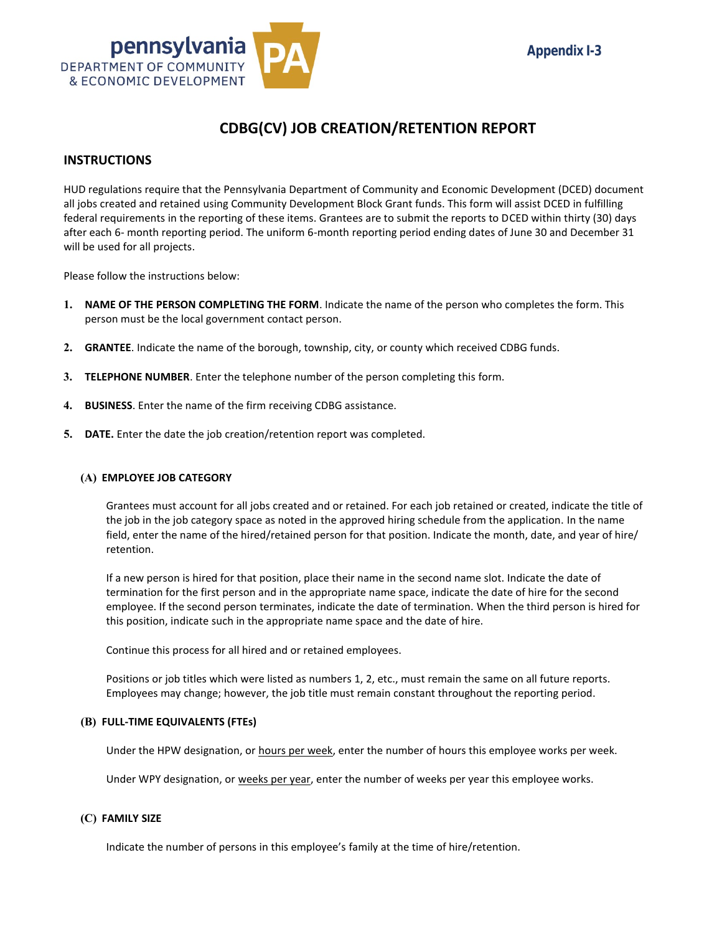

### **CDBG(CV) JOB CREATION/RETENTION REPORT**

### **INSTRUCTIONS**

HUD regulations require that the Pennsylvania Department of Community and Economic Development (DCED) document all jobs created and retained using Community Development Block Grant funds. This form will assist DCED in fulfilling federal requirements in the reporting of these items. Grantees are to submit the reports to DCED within thirty (30) days after each 6- month reporting period. The uniform 6-month reporting period ending dates of June 30 and December 31 will be used for all projects.

Please follow the instructions below:

- **1. NAME OF THE PERSON COMPLETING THE FORM**. Indicate the name of the person who completes the form. This person must be the local government contact person.
- **2. GRANTEE**. Indicate the name of the borough, township, city, or county which received CDBG funds.
- **3. TELEPHONE NUMBER**. Enter the telephone number of the person completing this form.
- **4. BUSINESS**. Enter the name of the firm receiving CDBG assistance.
- **5. DATE.** Enter the date the job creation/retention report was completed.

#### **(A) EMPLOYEE JOB CATEGORY**

Grantees must account for all jobs created and or retained. For each job retained or created, indicate the title of the job in the job category space as noted in the approved hiring schedule from the application. In the name field, enter the name of the hired/retained person for that position. Indicate the month, date, and year of hire/ retention.

If a new person is hired for that position, place their name in the second name slot. Indicate the date of termination for the first person and in the appropriate name space, indicate the date of hire for the second employee. If the second person terminates, indicate the date of termination. When the third person is hired for this position, indicate such in the appropriate name space and the date of hire.

Continue this process for all hired and or retained employees.

Positions or job titles which were listed as numbers 1, 2, etc., must remain the same on all future reports. Employees may change; however, the job title must remain constant throughout the reporting period.

#### **(B) FULL-TIME EQUIVALENTS (FTEs)**

Under the HPW designation, or hours per week, enter the number of hours this employee works per week.

Under WPY designation, or weeks per year, enter the number of weeks per year this employee works.

#### **(C) FAMILY SIZE**

Indicate the number of persons in this employee's family at the time of hire/retention.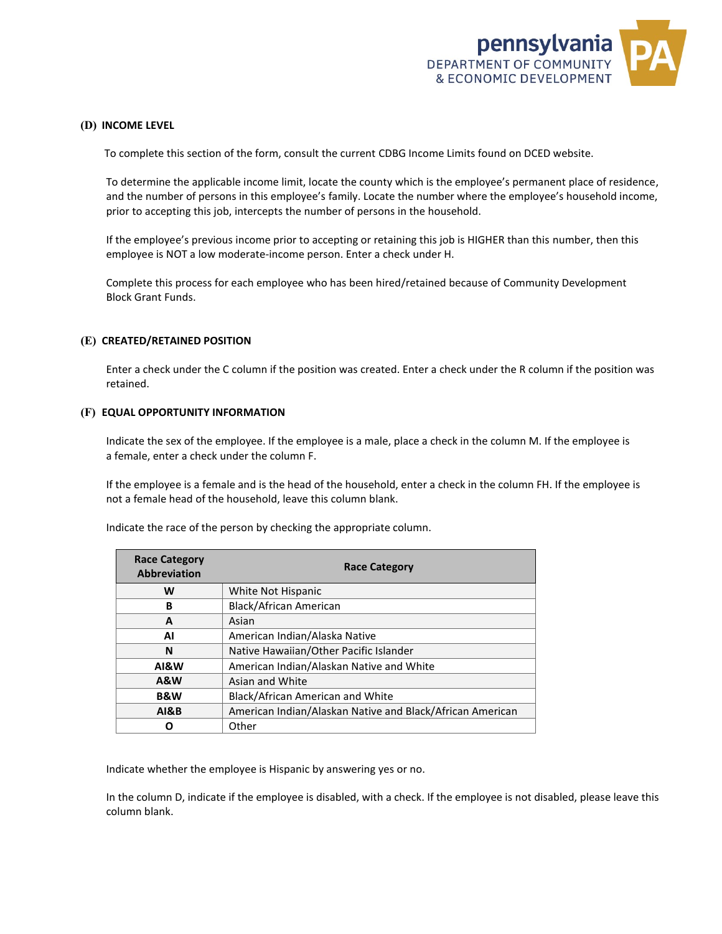

### **(D) INCOME LEVEL**

To complete this section of the form, consult the current CDBG Income Limits found on DCED website.

To determine the applicable income limit, locate the county which is the employee's permanent place of residence, and the number of persons in this employee's family. Locate the number where the employee's household income, prior to accepting this job, intercepts the number of persons in the household.

If the employee's previous income prior to accepting or retaining this job is HIGHER than this number, then this employee is NOT a low moderate-income person. Enter a check under H.

Complete this process for each employee who has been hired/retained because of Community Development Block Grant Funds.

#### **(E) CREATED/RETAINED POSITION**

Enter a check under the C column if the position was created. Enter a check under the R column if the position was retained.

#### **(F) EQUAL OPPORTUNITY INFORMATION**

Indicate the sex of the employee. If the employee is a male, place a check in the column M. If the employee is a female, enter a check under the column F.

If the employee is a female and is the head of the household, enter a check in the column FH. If the employee is not a female head of the household, leave this column blank.

| <b>Race Category</b><br><b>Abbreviation</b> | <b>Race Category</b>                                      |
|---------------------------------------------|-----------------------------------------------------------|
| W                                           | White Not Hispanic                                        |
| В                                           | Black/African American                                    |
| A                                           | Asian                                                     |
| ΑI                                          | American Indian/Alaska Native                             |
| N                                           | Native Hawaiian/Other Pacific Islander                    |
| AI&W                                        | American Indian/Alaskan Native and White                  |
| <b>A&amp;W</b>                              | Asian and White                                           |
| <b>B&amp;W</b>                              | Black/African American and White                          |
| <b>AI&amp;B</b>                             | American Indian/Alaskan Native and Black/African American |
|                                             | Other                                                     |

Indicate the race of the person by checking the appropriate column.

Indicate whether the employee is Hispanic by answering yes or no.

In the column D, indicate if the employee is disabled, with a check. If the employee is not disabled, please leave this column blank.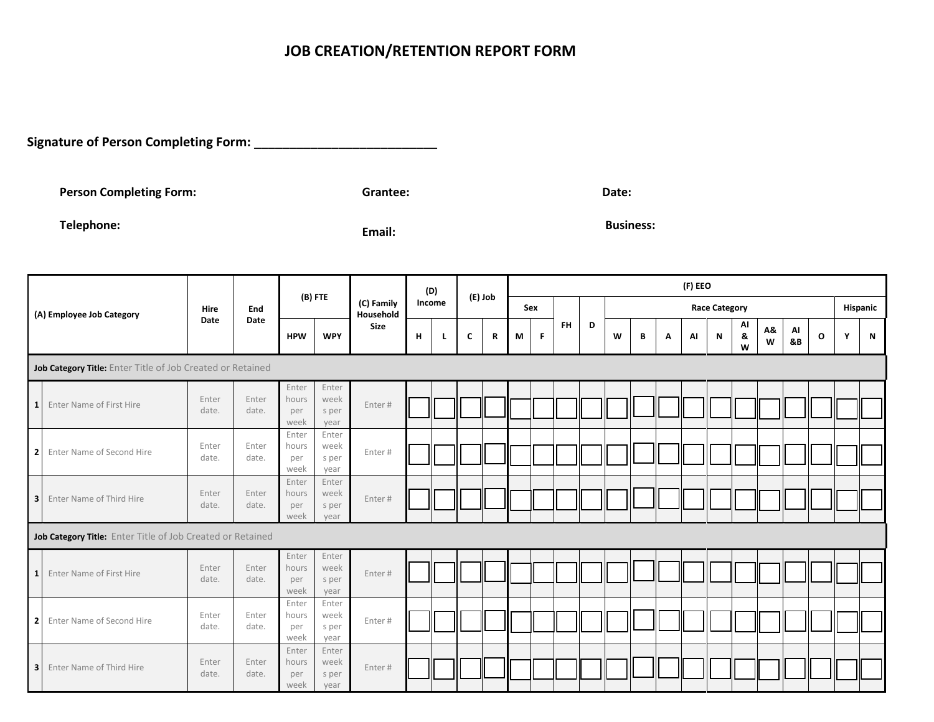**Signature of Person Completing Form:** \_\_\_\_\_\_\_\_\_\_\_\_\_\_\_\_\_\_\_\_\_\_\_\_\_\_

**Person Completing Form: Canadian Completing Form:** Grantee: **Grantee: Date: Date: Date: Date: Date: Date: Date: Date: Date: Date: Date: Date: Date: Date: Date: Date: Date: Date: Dat** 

**Telephone: Email: Business:** 

|                         |                                                            |                |                | (B) FTE                       |                                |                         | (D) |        | (E) Job |   | (F) EEO |   |           |                      |   |   |   |    |   |               |         |          |   |          |   |
|-------------------------|------------------------------------------------------------|----------------|----------------|-------------------------------|--------------------------------|-------------------------|-----|--------|---------|---|---------|---|-----------|----------------------|---|---|---|----|---|---------------|---------|----------|---|----------|---|
|                         | (A) Employee Job Category                                  | Hire           | End            |                               |                                | (C) Family<br>Household |     | Income |         |   | Sex     |   |           | <b>Race Category</b> |   |   |   |    |   |               |         |          |   | Hispanic |   |
|                         |                                                            | Date           | Date           | <b>HPW</b>                    | <b>WPY</b>                     | <b>Size</b>             | н   | L      | C       | R | М       | F | <b>FH</b> | D                    | W | В | A | AI | N | Al<br>8.<br>W | A&<br>W | AI<br>&B | O | Υ        | N |
|                         | Job Category Title: Enter Title of Job Created or Retained |                |                |                               |                                |                         |     |        |         |   |         |   |           |                      |   |   |   |    |   |               |         |          |   |          |   |
| 1 <sup>1</sup>          | Enter Name of First Hire                                   | Enter<br>date. | Enter<br>date. | Enter<br>hours<br>per<br>week | Enter<br>week<br>s per<br>year | Enter#                  |     |        |         |   |         |   |           |                      |   |   |   |    |   |               |         |          |   |          |   |
| $\overline{2}$          | Enter Name of Second Hire                                  | Enter<br>date. | Enter<br>date. | Enter<br>hours<br>per<br>week | Enter<br>week<br>s per<br>year | Enter#                  |     |        |         |   |         |   |           |                      |   |   |   |    |   |               |         |          |   |          |   |
| $\overline{\mathbf{3}}$ | Enter Name of Third Hire                                   | Enter<br>date. | Enter<br>date. | Enter<br>hours<br>per<br>week | Enter<br>week<br>s per<br>year | Enter#                  |     |        |         |   |         |   |           |                      |   |   |   |    |   |               |         |          |   |          |   |
|                         | Job Category Title: Enter Title of Job Created or Retained |                |                |                               |                                |                         |     |        |         |   |         |   |           |                      |   |   |   |    |   |               |         |          |   |          |   |
| $\mathbf{1}$            | Enter Name of First Hire                                   | Enter<br>date. | Enter<br>date. | Enter<br>hours<br>per<br>week | Enter<br>week<br>s per<br>year | Enter#                  |     |        |         |   |         |   |           |                      |   |   |   |    |   |               |         |          |   |          |   |
| $\overline{2}$          | Enter Name of Second Hire                                  | Enter<br>date. | Enter<br>date. | Enter<br>hours<br>per<br>week | Enter<br>week<br>s per<br>year | Enter#                  |     |        |         |   |         |   |           |                      |   |   |   |    |   |               |         |          |   |          |   |
| $\overline{\mathbf{3}}$ | Enter Name of Third Hire                                   | Enter<br>date. | Enter<br>date. | Enter<br>hours<br>per<br>week | Enter<br>week<br>s per<br>year | Enter#                  | II  |        |         |   |         |   |           |                      |   |   |   |    |   |               |         |          |   |          |   |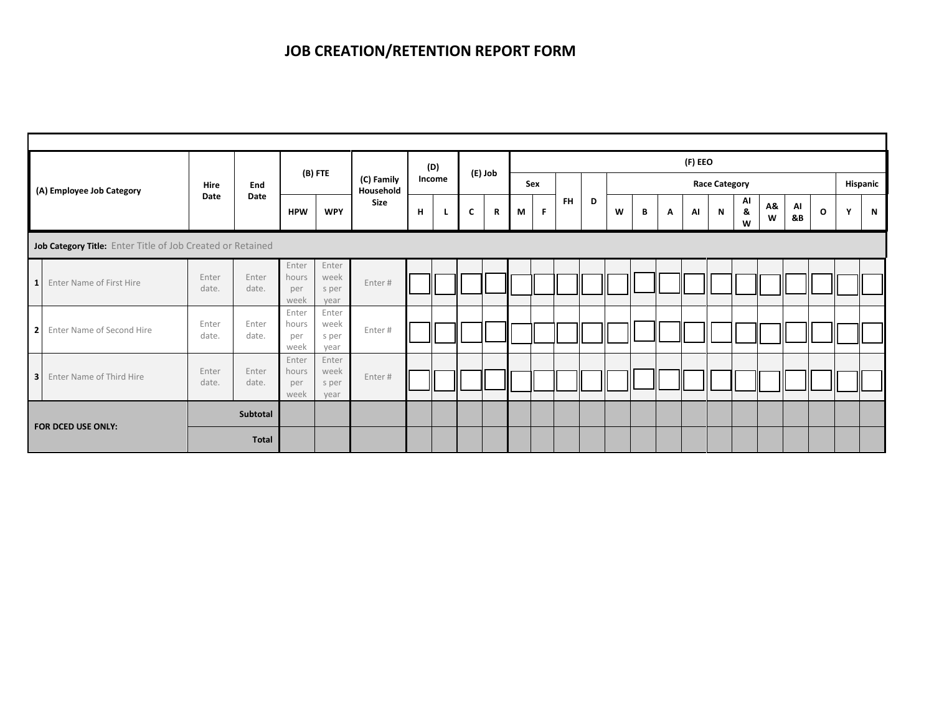|                         |                                                            |                |                |                               |                                |                         | (D) |        |   |         | (F) EEO |     |           |   |   |   |   |    |                      |              |         |          |              |   |             |
|-------------------------|------------------------------------------------------------|----------------|----------------|-------------------------------|--------------------------------|-------------------------|-----|--------|---|---------|---------|-----|-----------|---|---|---|---|----|----------------------|--------------|---------|----------|--------------|---|-------------|
|                         | (A) Employee Job Category                                  | Hire<br>Date   | End            | (B) FTE                       |                                | (C) Family<br>Household |     | Income |   | (E) Job |         | Sex |           |   |   |   |   |    | <b>Race Category</b> |              |         |          | Hispanic     |   |             |
|                         |                                                            |                | Date           | <b>HPW</b>                    | <b>WPY</b>                     | Size                    | н   |        | C | R<br>M  |         | F.  | <b>FH</b> | D | W | В | Α | AI | N                    | Al<br>&<br>W | Λ&<br>W | AI<br>&B | $\mathbf{o}$ | Y | $\mathbf N$ |
|                         | Job Category Title: Enter Title of Job Created or Retained |                |                |                               |                                |                         |     |        |   |         |         |     |           |   |   |   |   |    |                      |              |         |          |              |   |             |
| $\mathbf{1}$            | Enter Name of First Hire                                   | Enter<br>date. | Enter<br>date. | Enter<br>hours<br>per<br>week | Enter<br>week<br>s per<br>year | Enter#                  |     |        |   |         |         |     |           |   |   |   |   |    |                      |              |         |          |              |   |             |
| $\overline{\mathbf{2}}$ | Enter Name of Second Hire                                  | Enter<br>date. | Enter<br>date. | Enter<br>hours<br>per<br>week | Enter<br>week<br>s per<br>year | Enter#                  |     |        |   |         |         |     |           |   |   |   |   |    |                      |              |         |          |              |   |             |
| $\overline{\mathbf{3}}$ | Enter Name of Third Hire                                   | Enter<br>date. | Enter<br>date. | Enter<br>hours<br>per<br>week | Enter<br>week<br>s per<br>year | Enter#                  |     |        |   |         |         |     |           |   |   |   |   |    |                      |              |         |          |              |   |             |
|                         |                                                            |                | Subtotal       |                               |                                |                         |     |        |   |         |         |     |           |   |   |   |   |    |                      |              |         |          |              |   |             |
| FOR DCED USE ONLY:      |                                                            |                | Total          |                               |                                |                         |     |        |   |         |         |     |           |   |   |   |   |    |                      |              |         |          |              |   |             |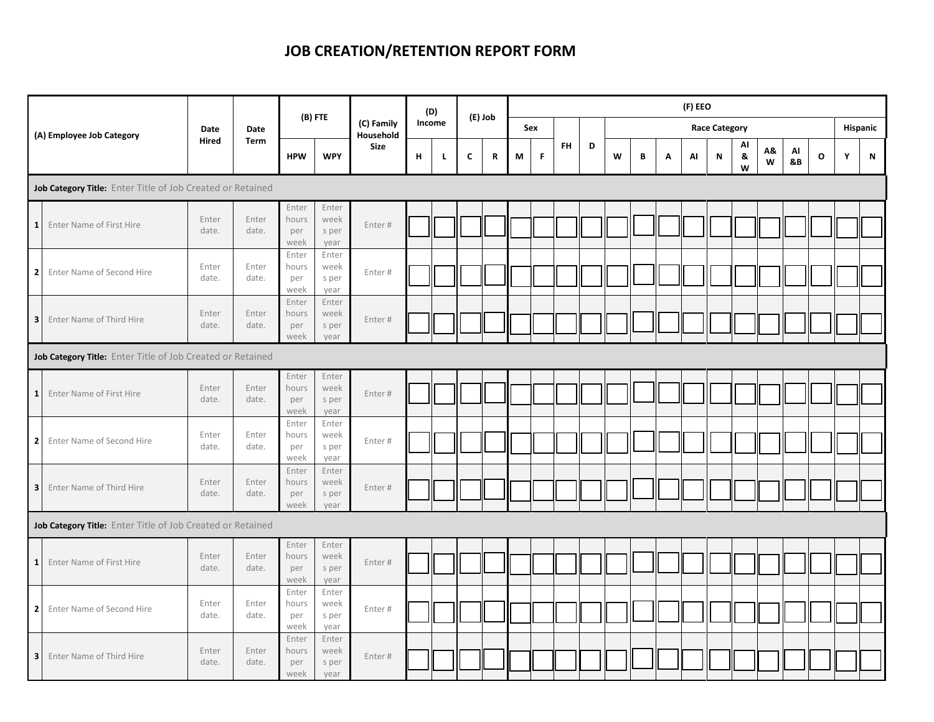|                                                            |                                                            |                |                     | (B) FTE                       |                                |                         | (D)    |    |             | (E) Job     |     |   |           | (F) EEO |   |   |   |    |                      |              |         |          |   |   |          |
|------------------------------------------------------------|------------------------------------------------------------|----------------|---------------------|-------------------------------|--------------------------------|-------------------------|--------|----|-------------|-------------|-----|---|-----------|---------|---|---|---|----|----------------------|--------------|---------|----------|---|---|----------|
|                                                            | (A) Employee Job Category                                  | Date<br>Hired  | <b>Date</b><br>Term |                               |                                | (C) Family<br>Household | Income |    |             |             | Sex |   |           |         |   |   |   |    | <b>Race Category</b> |              |         |          |   |   | Hispanic |
|                                                            |                                                            |                |                     | <b>HPW</b>                    | <b>WPY</b>                     | <b>Size</b>             | H      | L. | $\mathbf c$ | $\mathbf R$ | M   | F | <b>FH</b> | D       | W | В | Α | AI | ${\sf N}$            | AI<br>&<br>W | Α&<br>W | Al<br>8B | O | Υ | N        |
|                                                            | Job Category Title: Enter Title of Job Created or Retained |                |                     |                               |                                |                         |        |    |             |             |     |   |           |         |   |   |   |    |                      |              |         |          |   |   |          |
| $\mathbf{1}$                                               | Enter Name of First Hire                                   | Enter<br>date. | Enter<br>date.      | Enter<br>hours<br>per<br>week | Enter<br>week<br>s per<br>year | Enter#                  |        |    |             |             |     |   |           |         |   |   |   |    |                      |              |         |          |   |   |          |
| $\mathbf 2$                                                | Enter Name of Second Hire                                  | Enter<br>date. | Enter<br>date.      | Enter<br>hours<br>per<br>week | Enter<br>week<br>s per<br>year | Enter#                  |        |    |             |             |     |   |           |         |   |   |   |    |                      |              |         |          |   |   |          |
| $\overline{\mathbf{3}}$                                    | Enter Name of Third Hire                                   | Enter<br>date. | Enter<br>date.      | Enter<br>hours<br>per<br>week | Enter<br>week<br>s per<br>year | Enter#                  |        |    |             |             |     |   |           |         |   |   |   |    |                      |              |         |          |   |   |          |
| Job Category Title: Enter Title of Job Created or Retained |                                                            |                |                     |                               |                                |                         |        |    |             |             |     |   |           |         |   |   |   |    |                      |              |         |          |   |   |          |
| $\mathbf{1}$                                               | Enter Name of First Hire                                   | Enter<br>date. | Enter<br>date.      | Enter<br>hours<br>per<br>week | Enter<br>week<br>s per<br>year | Enter#                  |        |    |             |             |     |   |           |         |   |   |   |    |                      |              |         |          |   |   |          |
| $\overline{\mathbf{2}}$                                    | Enter Name of Second Hire                                  | Enter<br>date. | Enter<br>date.      | Enter<br>hours<br>per<br>week | Enter<br>week<br>s per<br>year | Enter#                  |        |    |             |             |     |   |           |         |   |   |   |    |                      |              |         |          |   |   |          |
| $\overline{\mathbf{3}}$                                    | Enter Name of Third Hire                                   | Enter<br>date. | Enter<br>date.      | Enter<br>hours<br>per<br>week | Enter<br>week<br>s per<br>year | Enter#                  |        |    |             |             |     |   |           |         |   |   |   |    |                      |              |         |          |   |   |          |
|                                                            | Job Category Title: Enter Title of Job Created or Retained |                |                     |                               |                                |                         |        |    |             |             |     |   |           |         |   |   |   |    |                      |              |         |          |   |   |          |
| $\mathbf{1}$                                               | Enter Name of First Hire                                   | Enter<br>date. | Enter<br>date.      | Enter<br>hours<br>per<br>week | Enter<br>week<br>s per<br>year | Enter#                  |        |    |             |             |     |   |           |         |   |   |   |    |                      |              |         |          |   |   |          |
| $\overline{2}$                                             | Enter Name of Second Hire                                  | Enter<br>date. | Enter<br>date.      | Enter<br>hours<br>per<br>week | Enter<br>week<br>s per<br>year | Enter#                  |        |    |             |             |     |   |           |         |   |   |   |    |                      |              |         |          |   |   |          |
| 3                                                          | Enter Name of Third Hire                                   | Enter<br>date. | Enter<br>date.      | Enter<br>hours<br>per<br>week | Enter<br>week<br>s per<br>year | Enter#                  |        |    |             |             |     |   |           |         |   |   |   |    |                      |              |         |          |   |   |          |